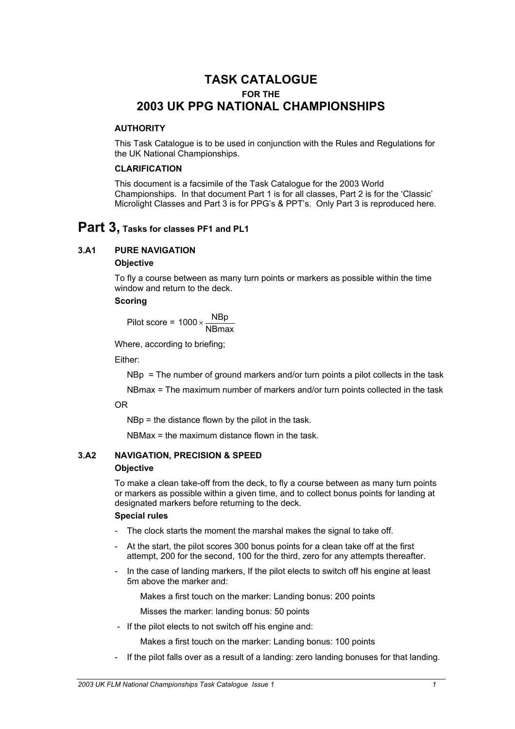# **TASK CATALOGUE FOR THE 2003 UK PPG NATIONAL CHAMPIONSHIPS**

# **AUTHORITY**

This Task Catalogue is to be used in conjunction with the Rules and Regulations for the UK National Championships.

# **CLARIFICATION**

This document is a facsimile of the Task Catalogue for the 2003 World Championships. In that document Part 1 is for all classes, Part 2 is for the 'Classic' Microlight Classes and Part 3 is for PPG's & PPT's. Only Part 3 is reproduced here.

# **Part 3, Tasks for classes PF1 and PL1**

# **3.A1 PURE NAVIGATION**

## **Objective**

To fly a course between as many turn points or markers as possible within the time window and return to the deck.

# **Scoring**

Pilot score =  $1000 \times \frac{\text{NBP}}{\text{NBmax}}$ 

Where, according to briefing;

Either:

NBp = The number of ground markers and/or turn points a pilot collects in the task

NBmax = The maximum number of markers and/or turn points collected in the task

OR

NBp = the distance flown by the pilot in the task.

NBMax = the maximum distance flown in the task.

# **3.A2 NAVIGATION, PRECISION & SPEED**

# **Objective**

To make a clean take-off from the deck, to fly a course between as many turn points or markers as possible within a given time, and to collect bonus points for landing at designated markers before returning to the deck.

# **Special rules**

- The clock starts the moment the marshal makes the signal to take off.
- At the start, the pilot scores 300 bonus points for a clean take off at the first attempt, 200 for the second, 100 for the third, zero for any attempts thereafter.
- In the case of landing markers, If the pilot elects to switch off his engine at least 5m above the marker and:

Makes a first touch on the marker: Landing bonus: 200 points

Misses the marker: landing bonus: 50 points

- If the pilot elects to not switch off his engine and:

Makes a first touch on the marker: Landing bonus: 100 points

- If the pilot falls over as a result of a landing: zero landing bonuses for that landing.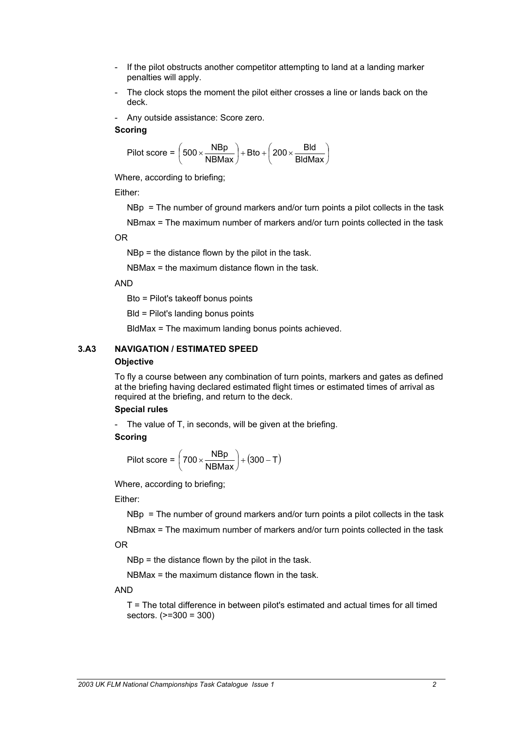- If the pilot obstructs another competitor attempting to land at a landing marker penalties will apply.
- The clock stops the moment the pilot either crosses a line or lands back on the deck.
- Any outside assistance: Score zero.

$$
Pilot score = \left(500 \times \frac{NBP}{NBMax}\right) + Bto + \left(200 \times \frac{Bld}{BIdMax}\right)
$$

Where, according to briefing;

Either:

NBp = The number of ground markers and/or turn points a pilot collects in the task

NBmax = The maximum number of markers and/or turn points collected in the task

OR

NBp = the distance flown by the pilot in the task.

NBMax = the maximum distance flown in the task.

## AND

Bto = Pilot's takeoff bonus points

Bld = Pilot's landing bonus points

BldMax = The maximum landing bonus points achieved.

# **3.A3 NAVIGATION / ESTIMATED SPEED**

## **Objective**

To fly a course between any combination of turn points, markers and gates as defined at the briefing having declared estimated flight times or estimated times of arrival as required at the briefing, and return to the deck.

## **Special rules**

- The value of T, in seconds, will be given at the briefing.

## **Scoring**

$$
Pilot score = \left(700 \times \frac{NBP}{NBMax}\right) + (300 - T)
$$

Where, according to briefing;

## Either:

NBp = The number of ground markers and/or turn points a pilot collects in the task

NBmax = The maximum number of markers and/or turn points collected in the task OR

NBp = the distance flown by the pilot in the task.

 $NBMax =$  the maximum distance flown in the task.

## AND

T = The total difference in between pilot's estimated and actual times for all timed sectors. (>=300 = 300)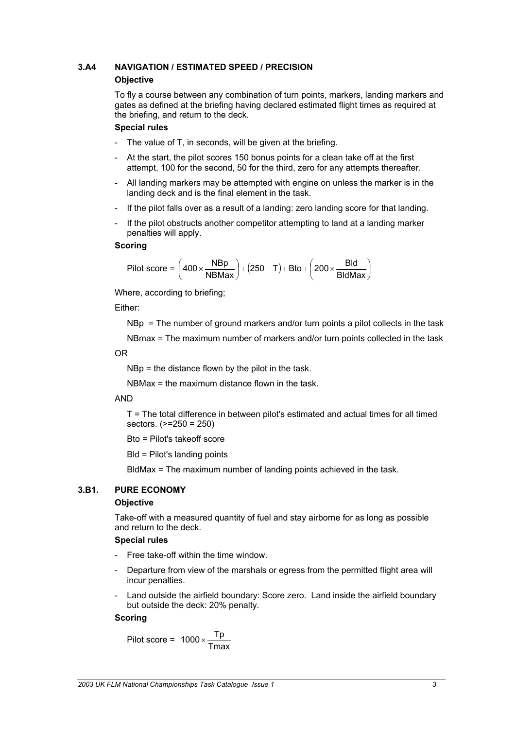## **3.A4 NAVIGATION / ESTIMATED SPEED / PRECISION**

## **Objective**

To fly a course between any combination of turn points, markers, landing markers and gates as defined at the briefing having declared estimated flight times as required at the briefing, and return to the deck.

# **Special rules**

- The value of T, in seconds, will be given at the briefing.
- At the start, the pilot scores 150 bonus points for a clean take off at the first attempt, 100 for the second, 50 for the third, zero for any attempts thereafter.
- All landing markers may be attempted with engine on unless the marker is in the landing deck and is the final element in the task.
- If the pilot falls over as a result of a landing: zero landing score for that landing.
- If the pilot obstructs another competitor attempting to land at a landing marker penalties will apply.

## **Scoring**

$$
Pilot score = \left(400 \times \frac{NBP}{NBMax}\right) + (250 - T) + Bto + \left(200 \times \frac{Bld}{BldMax}\right)
$$

Where, according to briefing;

Either:

NBp = The number of ground markers and/or turn points a pilot collects in the task

NBmax = The maximum number of markers and/or turn points collected in the task

OR

NBp = the distance flown by the pilot in the task.

NBMax = the maximum distance flown in the task.

## AND

T = The total difference in between pilot's estimated and actual times for all timed sectors. (>=250 = 250)

Bto = Pilot's takeoff score

Bld = Pilot's landing points

BldMax = The maximum number of landing points achieved in the task.

# **3.B1. PURE ECONOMY**

## **Objective**

Take-off with a measured quantity of fuel and stay airborne for as long as possible and return to the deck.

## **Special rules**

- Free take-off within the time window.
- Departure from view of the marshals or egress from the permitted flight area will incur penalties.
- Land outside the airfield boundary: Score zero. Land inside the airfield boundary but outside the deck: 20% penalty.

# **Scoring**

$$
Pilot score = 1000 \times \frac{Tp}{Tmax}
$$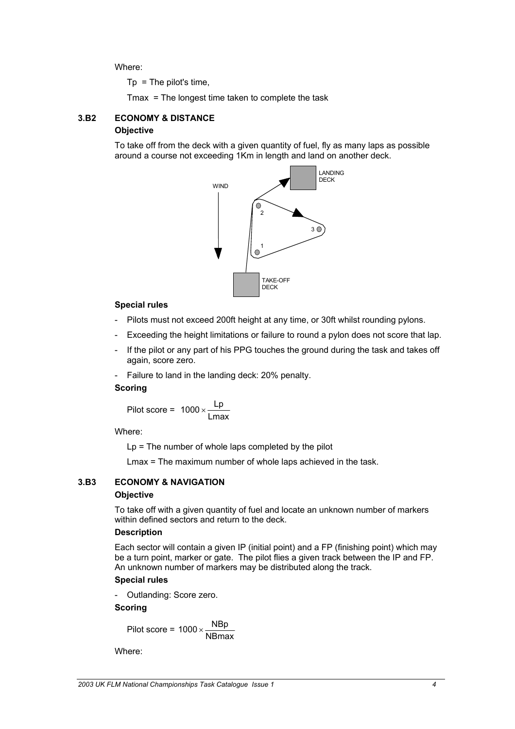Where:

 $Tp = The pilot's time,$ 

Tmax = The longest time taken to complete the task

# **3.B2 ECONOMY & DISTANCE**

## **Objective**

To take off from the deck with a given quantity of fuel, fly as many laps as possible around a course not exceeding 1Km in length and land on another deck.



## **Special rules**

- Pilots must not exceed 200ft height at any time, or 30ft whilst rounding pylons.
- Exceeding the height limitations or failure to round a pylon does not score that lap.
- If the pilot or any part of his PPG touches the ground during the task and takes off again, score zero.
- Failure to land in the landing deck: 20% penalty.

## **Scoring**

$$
Pilot score = 1000 \times \frac{Lp}{Lmax}
$$

Where:

Lp = The number of whole laps completed by the pilot

Lmax = The maximum number of whole laps achieved in the task.

# **3.B3 ECONOMY & NAVIGATION**

## **Objective**

To take off with a given quantity of fuel and locate an unknown number of markers within defined sectors and return to the deck.

## **Description**

Each sector will contain a given IP (initial point) and a FP (finishing point) which may be a turn point, marker or gate. The pilot flies a given track between the IP and FP. An unknown number of markers may be distributed along the track.

# **Special rules**

- Outlanding: Score zero.

## **Scoring**

Pilot score = 1000 $\times \frac{\text{NBP}}{\text{NBmax}}$ 

Where: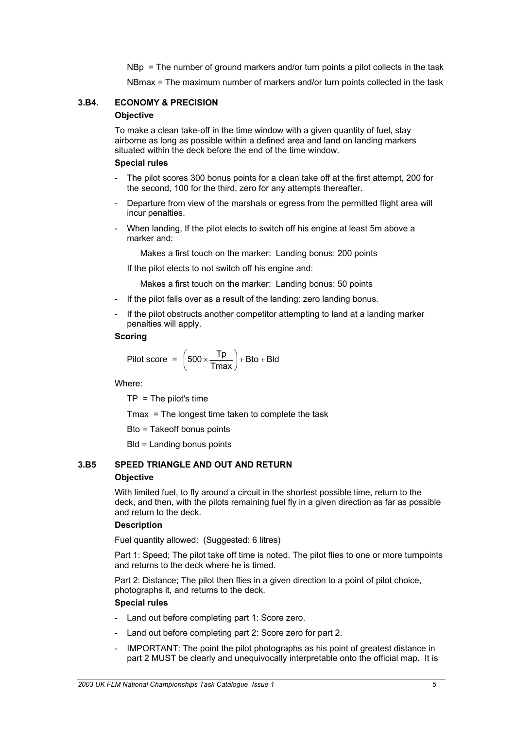NBp = The number of ground markers and/or turn points a pilot collects in the task

NBmax = The maximum number of markers and/or turn points collected in the task

# **3.B4. ECONOMY & PRECISION**

## **Objective**

To make a clean take-off in the time window with a given quantity of fuel, stay airborne as long as possible within a defined area and land on landing markers situated within the deck before the end of the time window.

## **Special rules**

- The pilot scores 300 bonus points for a clean take off at the first attempt, 200 for the second, 100 for the third, zero for any attempts thereafter.
- Departure from view of the marshals or egress from the permitted flight area will incur penalties.
- When landing, If the pilot elects to switch off his engine at least 5m above a marker and:

Makes a first touch on the marker: Landing bonus: 200 points

If the pilot elects to not switch off his engine and:

Makes a first touch on the marker: Landing bonus: 50 points

- If the pilot falls over as a result of the landing: zero landing bonus.
- If the pilot obstructs another competitor attempting to land at a landing marker penalties will apply.

# **Scoring**

$$
Pilot score = \left(500 \times \frac{Tp}{Tmax}\right) + Bto + Bld
$$

Where:

 $TP = The pilot's time$ 

Tmax = The longest time taken to complete the task

Bto = Takeoff bonus points

Bld = Landing bonus points

# **3.B5 SPEED TRIANGLE AND OUT AND RETURN Objective**

With limited fuel, to fly around a circuit in the shortest possible time, return to the deck, and then, with the pilots remaining fuel fly in a given direction as far as possible and return to the deck.

# **Description**

Fuel quantity allowed: (Suggested: 6 litres)

Part 1: Speed; The pilot take off time is noted. The pilot flies to one or more turnpoints and returns to the deck where he is timed.

Part 2: Distance; The pilot then flies in a given direction to a point of pilot choice, photographs it, and returns to the deck.

# **Special rules**

- Land out before completing part 1: Score zero.
- Land out before completing part 2: Score zero for part 2.
- IMPORTANT: The point the pilot photographs as his point of greatest distance in part 2 MUST be clearly and unequivocally interpretable onto the official map. It is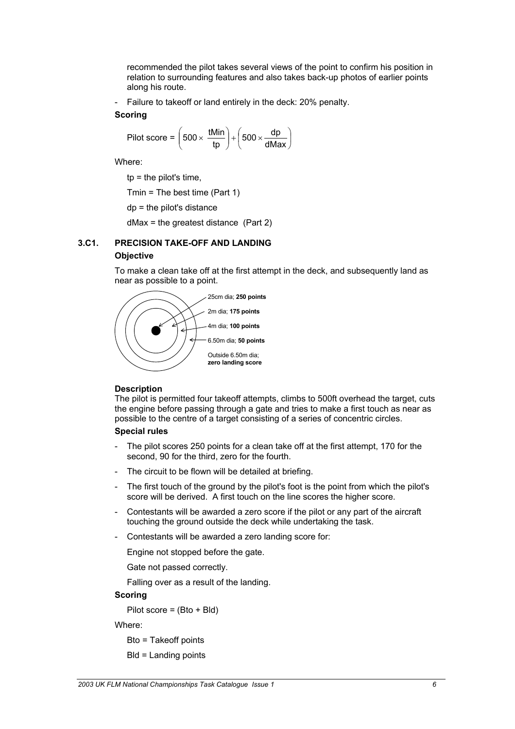recommended the pilot takes several views of the point to confirm his position in relation to surrounding features and also takes back-up photos of earlier points along his route.

- Failure to takeoff or land entirely in the deck: 20% penalty.

## **Scoring**

$$
Pilot score = \left(500 \times \frac{tMin}{tp}\right) + \left(500 \times \frac{dp}{dMax}\right)
$$

Where:

 $tp =$  the pilot's time,

Tmin = The best time (Part 1)

dp = the pilot's distance

dMax = the greatest distance (Part 2)

# **3.C1. PRECISION TAKE-OFF AND LANDING**

# **Objective**

To make a clean take off at the first attempt in the deck, and subsequently land as near as possible to a point.



# **Description**

The pilot is permitted four takeoff attempts, climbs to 500ft overhead the target, cuts the engine before passing through a gate and tries to make a first touch as near as possible to the centre of a target consisting of a series of concentric circles.

# **Special rules**

- The pilot scores 250 points for a clean take off at the first attempt, 170 for the second, 90 for the third, zero for the fourth.
- The circuit to be flown will be detailed at briefing.
- The first touch of the ground by the pilot's foot is the point from which the pilot's score will be derived. A first touch on the line scores the higher score.
- Contestants will be awarded a zero score if the pilot or any part of the aircraft touching the ground outside the deck while undertaking the task.
- Contestants will be awarded a zero landing score for:

Engine not stopped before the gate.

Gate not passed correctly.

Falling over as a result of the landing.

# **Scoring**

Pilot score = (Bto + Bld)

Where:

Bto = Takeoff points

$$
BId = \text{Landing points}
$$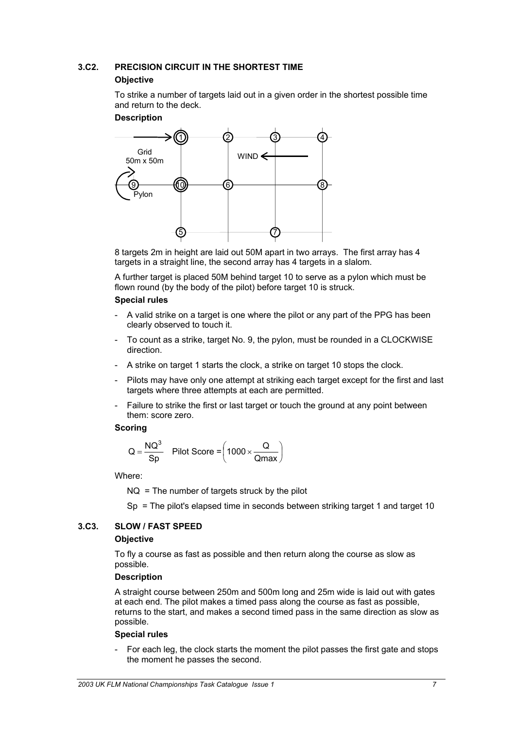# **3.C2. PRECISION CIRCUIT IN THE SHORTEST TIME Objective**

To strike a number of targets laid out in a given order in the shortest possible time and return to the deck.

## **Description**



8 targets 2m in height are laid out 50M apart in two arrays. The first array has 4 targets in a straight line, the second array has 4 targets in a slalom.

A further target is placed 50M behind target 10 to serve as a pylon which must be flown round (by the body of the pilot) before target 10 is struck.

# **Special rules**

- A valid strike on a target is one where the pilot or any part of the PPG has been clearly observed to touch it.
- To count as a strike, target No. 9, the pylon, must be rounded in a CLOCKWISE direction.
- A strike on target 1 starts the clock, a strike on target 10 stops the clock.
- Pilots may have only one attempt at striking each target except for the first and last targets where three attempts at each are permitted.
- Failure to strike the first or last target or touch the ground at any point between them: score zero.

# **Scoring**

$$
Q = \frac{NQ^3}{Sp}
$$
 Pilot Score =  $\left(1000 \times \frac{Q}{Qmax}\right)$ 

Where:

 $NQ = Th$ e number of targets struck by the pilot

Sp = The pilot's elapsed time in seconds between striking target 1 and target 10

# **3.C3. SLOW / FAST SPEED**

# **Objective**

To fly a course as fast as possible and then return along the course as slow as possible.

# **Description**

A straight course between 250m and 500m long and 25m wide is laid out with gates at each end. The pilot makes a timed pass along the course as fast as possible, returns to the start, and makes a second timed pass in the same direction as slow as possible.

# **Special rules**

- For each leg, the clock starts the moment the pilot passes the first gate and stops the moment he passes the second.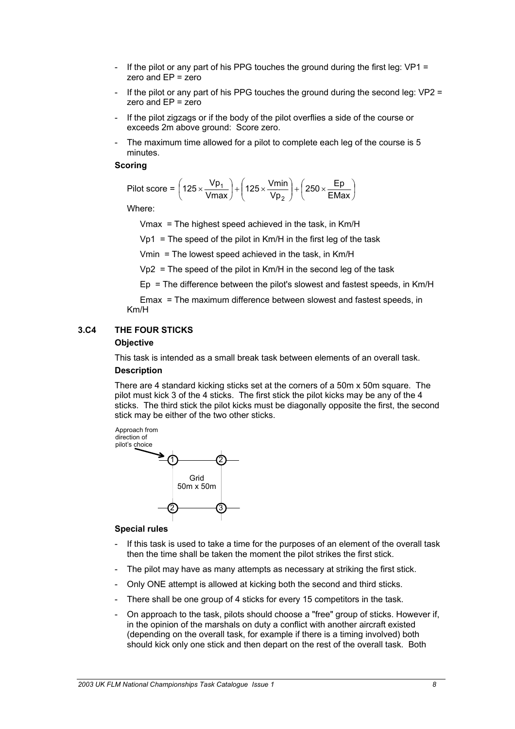- If the pilot or any part of his PPG touches the ground during the first leg:  $VP1 =$ zero and EP = zero
- If the pilot or any part of his PPG touches the ground during the second leg:  $VP2 =$ zero and EP = zero
- If the pilot zigzags or if the body of the pilot overflies a side of the course or exceeds 2m above ground: Score zero.
- The maximum time allowed for a pilot to complete each leg of the course is 5 minutes.

$$
Pilot score = \left(125 \times \frac{Vp_1}{Vmax}\right) + \left(125 \times \frac{Vmin}{Vp_2}\right) + \left(250 \times \frac{Ep}{EMax}\right)
$$

Where:

Vmax = The highest speed achieved in the task, in Km/H

 $Vp1$  = The speed of the pilot in Km/H in the first leg of the task

Vmin = The lowest speed achieved in the task, in Km/H

 $Vp2$  = The speed of the pilot in Km/H in the second leg of the task

Ep = The difference between the pilot's slowest and fastest speeds, in Km/H

Emax = The maximum difference between slowest and fastest speeds, in Km/H

## **3.C4 THE FOUR STICKS**

#### **Objective**

This task is intended as a small break task between elements of an overall task. **Description** 

There are 4 standard kicking sticks set at the corners of a 50m x 50m square. The pilot must kick 3 of the 4 sticks. The first stick the pilot kicks may be any of the 4 sticks. The third stick the pilot kicks must be diagonally opposite the first, the second stick may be either of the two other sticks.



#### **Special rules**

- If this task is used to take a time for the purposes of an element of the overall task then the time shall be taken the moment the pilot strikes the first stick.
- The pilot may have as many attempts as necessary at striking the first stick.
- Only ONE attempt is allowed at kicking both the second and third sticks.
- There shall be one group of 4 sticks for every 15 competitors in the task.
- On approach to the task, pilots should choose a "free" group of sticks. However if, in the opinion of the marshals on duty a conflict with another aircraft existed (depending on the overall task, for example if there is a timing involved) both should kick only one stick and then depart on the rest of the overall task. Both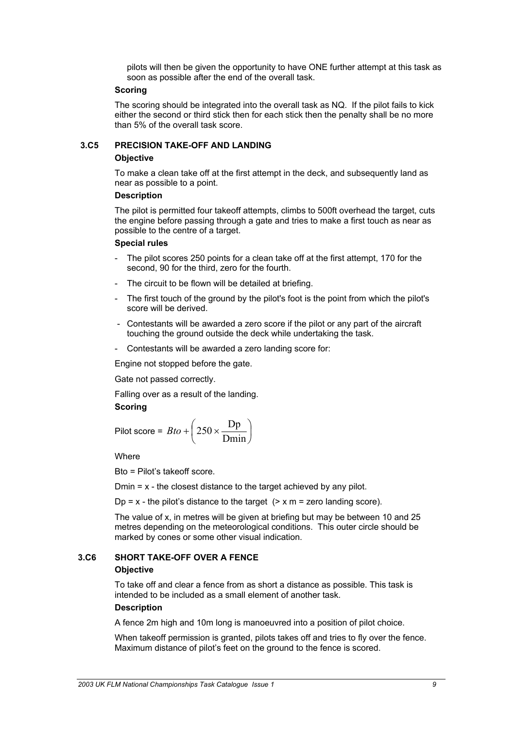pilots will then be given the opportunity to have ONE further attempt at this task as soon as possible after the end of the overall task.

## **Scoring**

The scoring should be integrated into the overall task as NQ. If the pilot fails to kick either the second or third stick then for each stick then the penalty shall be no more than 5% of the overall task score.

# **3.C5 PRECISION TAKE-OFF AND LANDING**

## **Objective**

To make a clean take off at the first attempt in the deck, and subsequently land as near as possible to a point.

# **Description**

The pilot is permitted four takeoff attempts, climbs to 500ft overhead the target, cuts the engine before passing through a gate and tries to make a first touch as near as possible to the centre of a target.

## **Special rules**

- The pilot scores 250 points for a clean take off at the first attempt, 170 for the second, 90 for the third, zero for the fourth.
- The circuit to be flown will be detailed at briefing.
- The first touch of the ground by the pilot's foot is the point from which the pilot's score will be derived.
- Contestants will be awarded a zero score if the pilot or any part of the aircraft touching the ground outside the deck while undertaking the task.
- Contestants will be awarded a zero landing score for:

Engine not stopped before the gate.

Gate not passed correctly.

Falling over as a result of the landing.

# **Scoring**

$$
Pilot score = Bto + \left(250 \times \frac{Dp}{Dmin}\right)
$$

**Where** 

Bto = Pilot's takeoff score.

Dmin = x - the closest distance to the target achieved by any pilot.

Dp = x - the pilot's distance to the target  $($  > x m = zero landing score).

The value of x, in metres will be given at briefing but may be between 10 and 25 metres depending on the meteorological conditions. This outer circle should be marked by cones or some other visual indication.

# **3.C6 SHORT TAKE-OFF OVER A FENCE**

# **Objective**

To take off and clear a fence from as short a distance as possible. This task is intended to be included as a small element of another task.

# **Description**

A fence 2m high and 10m long is manoeuvred into a position of pilot choice.

When takeoff permission is granted, pilots takes off and tries to fly over the fence. Maximum distance of pilot's feet on the ground to the fence is scored.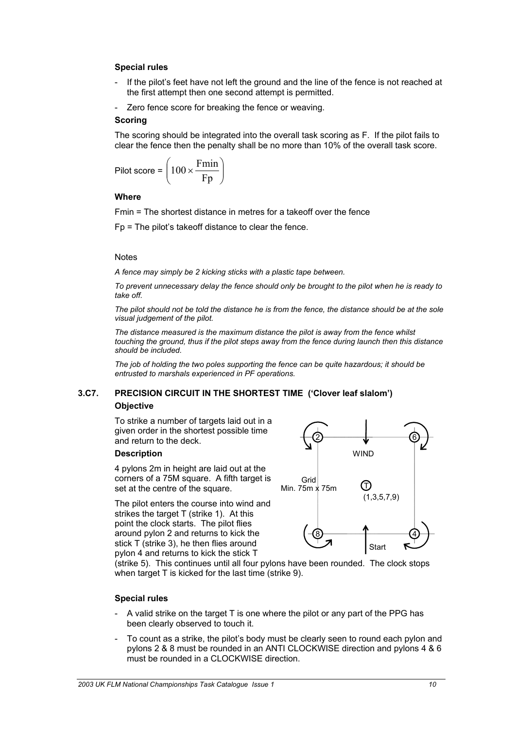# **Special rules**

- If the pilot's feet have not left the ground and the line of the fence is not reached at the first attempt then one second attempt is permitted.
- Zero fence score for breaking the fence or weaving.

## **Scoring**

The scoring should be integrated into the overall task scoring as F. If the pilot fails to clear the fence then the penalty shall be no more than 10% of the overall task score.

$$
Pilot score = \left(100 \times \frac{Fmin}{Fp}\right)
$$

## **Where**

Fmin = The shortest distance in metres for a takeoff over the fence

Fp = The pilot's takeoff distance to clear the fence.

## **Notes**

*A fence may simply be 2 kicking sticks with a plastic tape between.* 

*To prevent unnecessary delay the fence should only be brought to the pilot when he is ready to take off.* 

*The pilot should not be told the distance he is from the fence, the distance should be at the sole visual judgement of the pilot.* 

*The distance measured is the maximum distance the pilot is away from the fence whilst touching the ground, thus if the pilot steps away from the fence during launch then this distance should be included.* 

*The job of holding the two poles supporting the fence can be quite hazardous; it should be entrusted to marshals experienced in PF operations.* 

# **3.C7. PRECISION CIRCUIT IN THE SHORTEST TIME ('Clover leaf slalom') Objective**

To strike a number of targets laid out in a given order in the shortest possible tim e and return to the deck.

# **Description**

4 pylons 2m in height are laid out at the corners of a 75M square. A fifth target is set at the centre of the square.

The pilot enters the course into wind and strikes the target T (strike 1). At this point the clock starts. The pilot flies around pylon 2 and returns to kick the stick T (strike 3), he then flies around pylon 4 and returns to kick the stick T



(strike 5). This continues until all four pylons have been rounded. The clock stops when target T is kicked for the last time (strike 9).

# **Special rules**

- A valid strike on the target T is one where the pilot or any part of the PPG has been clearly observed to touch it.
- To count as a strike, the pilot's body must be clearly seen to round each pylon and pylons 2 & 8 must be rounded in an ANTI CLOCKWISE direction and pylons 4 & 6 must be rounded in a CLOCKWISE direction.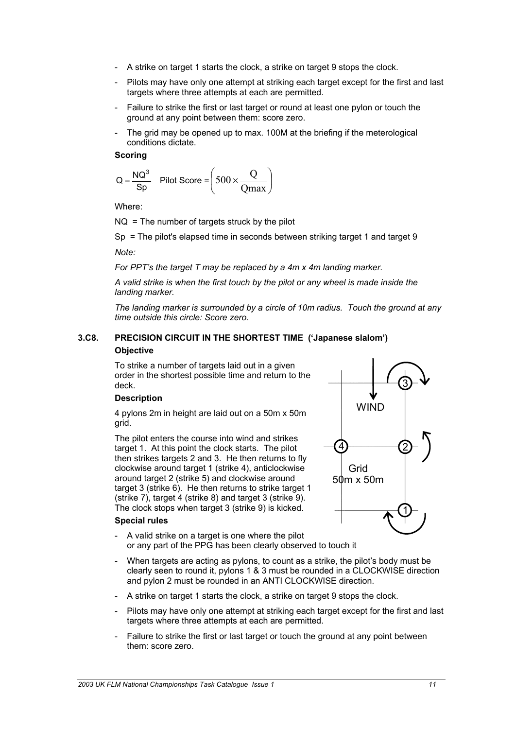- A strike on target 1 starts the clock, a strike on target 9 stops the clock.
- Pilots may have only one attempt at striking each target except for the first and last targets where three attempts at each are permitted.
- Failure to strike the first or last target or round at least one pylon or touch the ground at any point between them: score zero.
- The grid may be opened up to max. 100M at the briefing if the meterological conditions dictate.

$$
Q = \frac{NQ^3}{Sp}
$$
 Pilot Score =  $\left(500 \times \frac{Q}{Qmax}\right)$ 

Where:

 $NQ = The$  number of targets struck by the pilot

Sp = The pilot's elapsed time in seconds between striking target 1 and target 9

*Note:* 

*For PPT's the target T may be replaced by a 4m x 4m landing marker.* 

*A valid strike is when the first touch by the pilot or any wheel is made inside the landing marker.* 

*The landing marker is surrounded by a circle of 10m radius. Touch the ground at any time outside this circle: Score zero.* 

# **3.C8. PRECISION CIRCUIT IN THE SHORTEST TIME ('Japanese slalom') Objective**

To strike a number of targets laid out in a given order in the shortest possible time and return to the deck.

# **Description**

4 pylons 2m in height are laid out on a 50m x 50m grid.

The pilot enters the course into wind and strikes target 1. At this point the clock starts. The pilot then strikes targets 2 and 3. He then returns to fly clockwise around target 1 (strike 4), anticlockwise around target 2 (strike 5) and clockwise around target 3 (strike 6). He then returns to strike target 1 (strike 7), target 4 (strike 8) and target 3 (strike 9). The clock stops when target 3 (strike 9) is kicke d.

## **Special rules**

- 3 4 1 2 Grid 50m x 50m **WIND**
- A valid strike on a target is one where the pilot or any part of the PPG has been clearly observed to touch it
- When targets are acting as pylons, to count as a strike, the pilot's body must be clearly seen to round it, pylons 1 & 3 must be rounded in a CLOCKWISE direction and pylon 2 must be rounded in an ANTI CLOCKWISE direction.
- A strike on target 1 starts the clock, a strike on target 9 stops the clock.
- Pilots may have only one attempt at striking each target except for the first and last targets where three attempts at each are permitted.
- Failure to strike the first or last target or touch the ground at any point between them: score zero.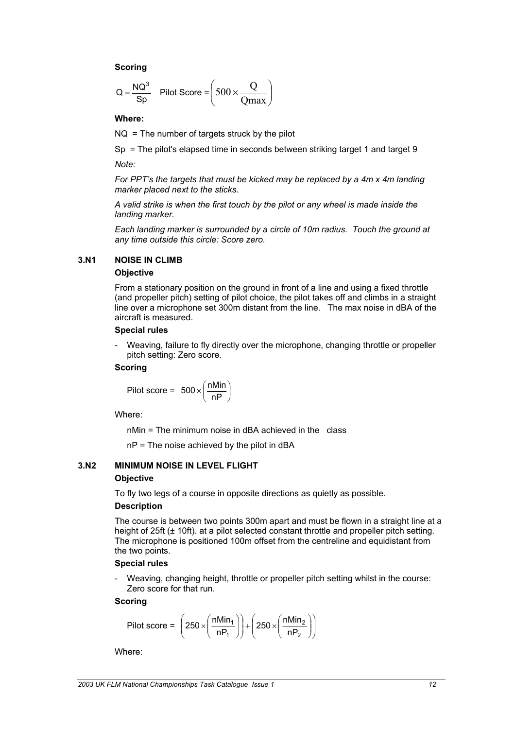$$
Q = \frac{NQ^3}{Sp} \quad \text{Pilot Score} = \left(500 \times \frac{Q}{Qmax}\right)
$$

**Where:** 

 $NQ = The$  number of targets struck by the pilot

Sp = The pilot's elapsed time in seconds between striking target 1 and target 9

*Note:* 

*For PPT's the targets that must be kicked may be replaced by a 4m x 4m landing marker placed next to the sticks.* 

*A valid strike is when the first touch by the pilot or any wheel is made inside the landing marker.* 

*Each landing marker is surrounded by a circle of 10m radius. Touch the ground at any time outside this circle: Score zero.*

# **3.N1 NOISE IN CLIMB**

# **Objective**

From a stationary position on the ground in front of a line and using a fixed throttle (and propeller pitch) setting of pilot choice, the pilot takes off and climbs in a straight line over a microphone set 300m distant from the line. The max noise in dBA of the aircraft is measured.

# **Special rules**

- Weaving, failure to fly directly over the microphone, changing throttle or propeller pitch setting: Zero score.

# **Scoring**

$$
Pilot score = 500 \times \left(\frac{nMin}{nP}\right)
$$

Where:

nMin = The minimum noise in dBA achieved in the class

nP = The noise achieved by the pilot in dBA

# **3.N2 MINIMUM NOISE IN LEVEL FLIGHT Objective**

To fly two legs of a course in opposite directions as quietly as possible.

# **Description**

The course is between two points 300m apart and must be flown in a straight line at a height of 25ft (± 10ft). at a pilot selected constant throttle and propeller pitch setting. The microphone is positioned 100m offset from the centreline and equidistant from the two points.

# **Special rules**

- Weaving, changing height, throttle or propeller pitch setting whilst in the course: Zero score for that run.

# **Scoring**

$$
Pilot score = \left(250 \times \left(\frac{nMin_1}{nP_1}\right)\right) + \left(250 \times \left(\frac{nMin_2}{nP_2}\right)\right)
$$

Where: